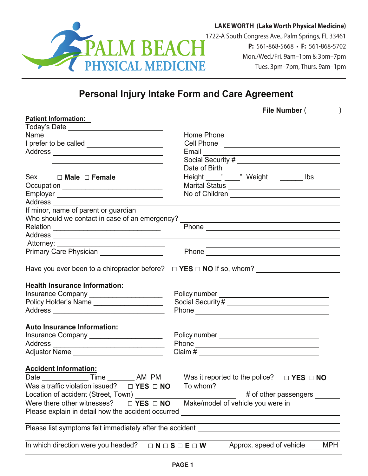

**LAKE WORTH (Lake Worth Physical Medicine)**

**P:** 561-868-5668 • **F:** 561-868-5702 Mon./Wed./Fri. 9am–1pm & 3pm–7pm Tues. 3pm–7pm, Thurs. 9am–1pm

## **Personal Injury Intake Form and Care Agreement**

| File Number ( |  |
|---------------|--|
|---------------|--|

| <b>Patient Information:</b>                                                 |                                                                                                                                                                                                                                                                                                                       |  |  |
|-----------------------------------------------------------------------------|-----------------------------------------------------------------------------------------------------------------------------------------------------------------------------------------------------------------------------------------------------------------------------------------------------------------------|--|--|
|                                                                             |                                                                                                                                                                                                                                                                                                                       |  |  |
|                                                                             |                                                                                                                                                                                                                                                                                                                       |  |  |
| I prefer to be called ______________________                                |                                                                                                                                                                                                                                                                                                                       |  |  |
|                                                                             | Email Contact Contract Contact Contract Contact Contract Contract Contract Contract Contract Contract Contract Contract Contract Contract Contract Contract Contract Contract Contract Contract Contract Contract Contract Con                                                                                        |  |  |
| <u> 1989 - Johann Barbara, martxa alemaniar amerikan a</u>                  |                                                                                                                                                                                                                                                                                                                       |  |  |
| <u> 1989 - Johann Barbara, martxa alemaniar arg</u>                         |                                                                                                                                                                                                                                                                                                                       |  |  |
| Sex □ Male □ Female                                                         | Date of Birth<br>Height ______' _____" Weight _______ lbs                                                                                                                                                                                                                                                             |  |  |
| Occupation ________________________________                                 |                                                                                                                                                                                                                                                                                                                       |  |  |
|                                                                             |                                                                                                                                                                                                                                                                                                                       |  |  |
| Address _____                                                               |                                                                                                                                                                                                                                                                                                                       |  |  |
| If minor, name of parent or guardian                                        |                                                                                                                                                                                                                                                                                                                       |  |  |
| Who should we contact in case of an emergency?                              | <u> 1980 - Andrea Brand, Amerikaansk politiker († 1908)</u>                                                                                                                                                                                                                                                           |  |  |
|                                                                             |                                                                                                                                                                                                                                                                                                                       |  |  |
|                                                                             |                                                                                                                                                                                                                                                                                                                       |  |  |
|                                                                             |                                                                                                                                                                                                                                                                                                                       |  |  |
| Primary Care Physician ___________________                                  |                                                                                                                                                                                                                                                                                                                       |  |  |
|                                                                             |                                                                                                                                                                                                                                                                                                                       |  |  |
|                                                                             |                                                                                                                                                                                                                                                                                                                       |  |  |
|                                                                             |                                                                                                                                                                                                                                                                                                                       |  |  |
| <b>Health Insurance Information:</b>                                        |                                                                                                                                                                                                                                                                                                                       |  |  |
| Insurance Company _____________________                                     |                                                                                                                                                                                                                                                                                                                       |  |  |
| Policy Holder's Name _____________________                                  |                                                                                                                                                                                                                                                                                                                       |  |  |
|                                                                             |                                                                                                                                                                                                                                                                                                                       |  |  |
|                                                                             |                                                                                                                                                                                                                                                                                                                       |  |  |
| <b>Auto Insurance Information:</b>                                          |                                                                                                                                                                                                                                                                                                                       |  |  |
| Insurance Company ______________________                                    |                                                                                                                                                                                                                                                                                                                       |  |  |
|                                                                             |                                                                                                                                                                                                                                                                                                                       |  |  |
| Adjustor Name ____________________________                                  | Claim # $\frac{1}{2}$ $\frac{1}{2}$ $\frac{1}{2}$ $\frac{1}{2}$ $\frac{1}{2}$ $\frac{1}{2}$ $\frac{1}{2}$ $\frac{1}{2}$ $\frac{1}{2}$ $\frac{1}{2}$ $\frac{1}{2}$ $\frac{1}{2}$ $\frac{1}{2}$ $\frac{1}{2}$ $\frac{1}{2}$ $\frac{1}{2}$ $\frac{1}{2}$ $\frac{1}{2}$ $\frac{1}{2}$ $\frac{1}{2}$ $\frac{1}{2}$ $\frac$ |  |  |
|                                                                             |                                                                                                                                                                                                                                                                                                                       |  |  |
| <b>Accident Information:</b>                                                |                                                                                                                                                                                                                                                                                                                       |  |  |
|                                                                             | Date <u>Time</u> Time AM PM Was it reported to the police? □ YES □ NO                                                                                                                                                                                                                                                 |  |  |
| Was a traffic violation issued? $\Box$ <b>YES</b> $\Box$ <b>NO</b> To whom? |                                                                                                                                                                                                                                                                                                                       |  |  |
|                                                                             | # of other passengers _______                                                                                                                                                                                                                                                                                         |  |  |
| Location of accident (Street, Town)                                         |                                                                                                                                                                                                                                                                                                                       |  |  |
| Were there other witnesses?<br>$\Box$ YES $\Box$ NO                         | Make/model of vehicle you were in _____________                                                                                                                                                                                                                                                                       |  |  |
| Please explain in detail how the accident occurred                          |                                                                                                                                                                                                                                                                                                                       |  |  |
|                                                                             |                                                                                                                                                                                                                                                                                                                       |  |  |
| Please list symptoms felt immediately after the accident                    |                                                                                                                                                                                                                                                                                                                       |  |  |
|                                                                             |                                                                                                                                                                                                                                                                                                                       |  |  |
| In which direction were you headed?                                         | Approx. speed of vehicle<br><b>MPH</b><br>$\Box N \Box S \Box E \Box W$                                                                                                                                                                                                                                               |  |  |
|                                                                             |                                                                                                                                                                                                                                                                                                                       |  |  |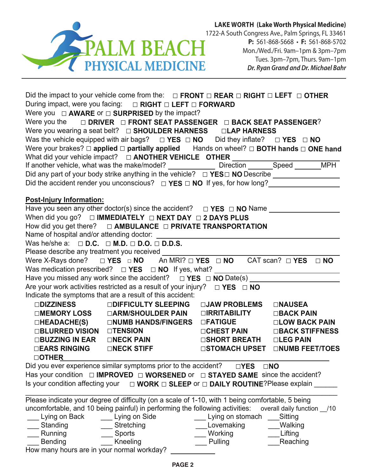

**LAKE WORTH (Lake Worth Physical Medicine)**

**P:** 561-868-5668 • **F:** 561-868-5702 Mon./Wed./Fri. 9am–1pm & 3pm–7pm Tues. 3pm–7pm, Thurs. 9am–1pm *Dr. Ryan Grand and Dr. Michael Bahr*

|                                  | Did the impact to your vehicle come from the: $\Box$ FRONT $\Box$ REAR $\Box$ RIGHT $\Box$ LEFT $\Box$ OTHER |                                                                  |                                       |
|----------------------------------|--------------------------------------------------------------------------------------------------------------|------------------------------------------------------------------|---------------------------------------|
|                                  | During impact, were you facing:  □ RIGHT □ LEFT □ FORWARD                                                    |                                                                  |                                       |
|                                  | Were you $\Box$ <b>AWARE</b> or $\Box$ <b>SURPRISED</b> by the impact?                                       |                                                                  |                                       |
|                                  | Were you the $\Box$ DRIVER $\Box$ FRONT SEAT PASSENGER $\Box$ BACK SEAT PASSENGER?                           |                                                                  |                                       |
|                                  | Were you wearing a seat belt? $\Box$ SHOULDER HARNESS $\Box$ LAP HARNESS                                     |                                                                  |                                       |
|                                  | Was the vehicle equipped with air bags? $\Box$ YES $\Box$ NO Did they inflate? $\Box$ YES $\Box$ NO          |                                                                  |                                       |
|                                  | Were your brakes? $\Box$ applied $\Box$ partially applied Hands on wheel? $\Box$ BOTH hands $\Box$ ONE hand  |                                                                  |                                       |
|                                  |                                                                                                              |                                                                  |                                       |
|                                  |                                                                                                              |                                                                  |                                       |
|                                  |                                                                                                              |                                                                  |                                       |
|                                  | Did the accident render you unconscious? $\Box$ YES $\Box$ NO If yes, for how long?                          |                                                                  |                                       |
|                                  |                                                                                                              |                                                                  |                                       |
| <b>Post-Injury Information:</b>  |                                                                                                              |                                                                  |                                       |
|                                  | Have you seen any other doctor(s) since the accident? $\Box$ <b>YES</b> $\Box$ <b>NO</b> Name $\Box$         |                                                                  |                                       |
|                                  | When did you go? $\Box$ IMMEDIATELY $\Box$ NEXT DAY $\Box$ 2 DAYS PLUS                                       |                                                                  |                                       |
|                                  | How did you get there? $\Box$ AMBULANCE $\Box$ PRIVATE TRANSPORTATION                                        |                                                                  |                                       |
|                                  |                                                                                                              |                                                                  |                                       |
|                                  | Was he/she a: $\Box$ D.C. $\Box$ M.D. $\Box$ D.O. $\Box$ D.D.S.                                              |                                                                  |                                       |
|                                  | Please describe any treatment you received                                                                   |                                                                  |                                       |
|                                  | Were X-Rays done? $\Box$ YES $\Box$ NO An MRI? $\Box$ YES $\Box$ NO CAT scan? $\Box$ YES $\Box$ NO           |                                                                  |                                       |
|                                  |                                                                                                              |                                                                  |                                       |
|                                  |                                                                                                              |                                                                  |                                       |
|                                  | Are your work activities restricted as a result of your injury? $\Box$ YES $\Box$ NO                         |                                                                  |                                       |
|                                  | Indicate the symptoms that are a result of this accident:                                                    |                                                                  |                                       |
|                                  |                                                                                                              |                                                                  |                                       |
|                                  |                                                                                                              |                                                                  |                                       |
|                                  | $\square$ HEADACHE(S) $\square$ NUMB HANDS/FINGERS $\square$ FATIGUE $\square$ LOW BACK PAIN                 |                                                                  |                                       |
| □BLURRED VISION □TENSION         |                                                                                                              | □CHEST PAIN □BACK STIFFNESS                                      |                                       |
|                                  | □BUZZING IN EAR □NECK PAIN USHORT BREATH □LEG PAIN                                                           |                                                                  |                                       |
|                                  | □EARS RINGING □NECK STIFF                                                                                    |                                                                  | <b>□STOMACH UPSET □NUMB FEET/TOES</b> |
| <b>DOTHER</b>                    |                                                                                                              |                                                                  |                                       |
|                                  | Did you ever experience similar symptoms prior to the accident?                                              | $\Box$ YES                                                       | $\square$ NO                          |
|                                  | Has your condition $\Box$ IMPROVED $\Box$ WORSENED or $\Box$ STAYED SAME since the accident?                 |                                                                  |                                       |
| Is your condition affecting your |                                                                                                              | $\Box$ WORK $\Box$ SLEEP or $\Box$ DAILY ROUTINE? Please explain |                                       |
|                                  |                                                                                                              |                                                                  |                                       |
|                                  | Please indicate your degree of difficulty (on a scale of 1-10, with 1 being comfortable, 5 being             |                                                                  |                                       |
|                                  | uncomfortable, and 10 being painful) in performing the following activities: overall daily function _/10     |                                                                  |                                       |
| Lying on Back                    | Lying on Side                                                                                                | Lying on stomach                                                 | Sitting                               |
| Standing                         | Stretching                                                                                                   | Lovemaking                                                       | Walking                               |
| Running                          | <b>Sports</b>                                                                                                | Working                                                          | Lifting                               |

\_\_\_ Bending \_\_\_ Kneeling \_\_\_ Pulling \_\_\_Reaching

How many hours are in your normal workday?